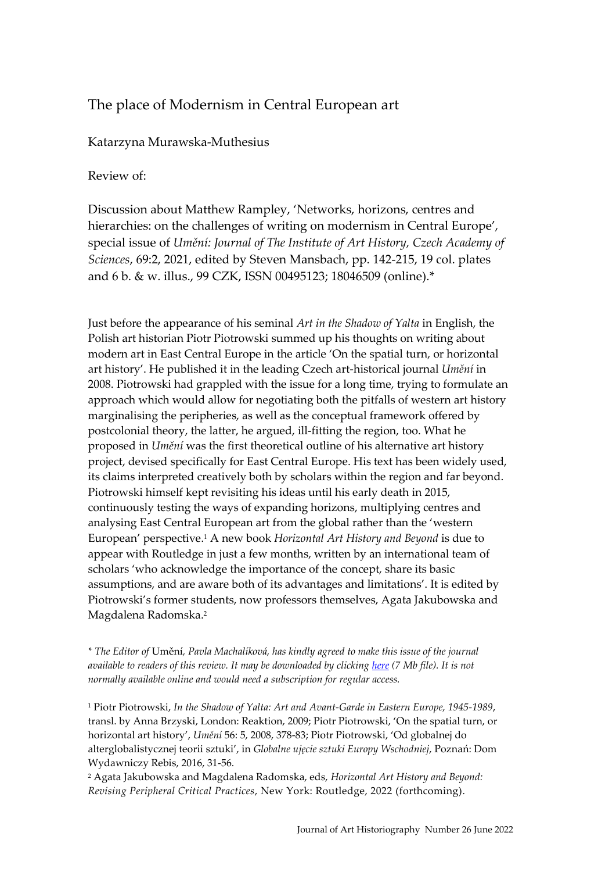# The place of Modernism in Central European art

## Katarzyna Murawska-Muthesius

### Review of:

Discussion about Matthew Rampley, 'Networks, horizons, centres and hierarchies: on the challenges of writing on modernism in Central Europe', special issue of *Umění: Journal of The Institute of Art History, Czech Academy of Sciences*, 69:2, 2021, edited by Steven Mansbach, pp. 142-215, 19 col. plates and 6 b. & w. illus., 99 CZK, ISSN 00495123; 18046509 (online).\*

Just before the appearance of his seminal *Art in the Shadow of Yalta* in English, the Polish art historian Piotr Piotrowski summed up his thoughts on writing about modern art in East Central Europe in the article 'On the spatial turn, or horizontal art history'. He published it in the leading Czech art-historical journal *Umění* in 2008. Piotrowski had grappled with the issue for a long time, trying to formulate an approach which would allow for negotiating both the pitfalls of western art history marginalising the peripheries, as well as the conceptual framework offered by postcolonial theory, the latter, he argued, ill-fitting the region, too. What he proposed in *Umění* was the first theoretical outline of his alternative art history project, devised specifically for East Central Europe. His text has been widely used, its claims interpreted creatively both by scholars within the region and far beyond. Piotrowski himself kept revisiting his ideas until his early death in 2015, continuously testing the ways of expanding horizons, multiplying centres and analysing East Central European art from the global rather than the 'western European' perspective.<sup>1</sup> A new book *Horizontal Art History and Beyond* is due to appear with Routledge in just a few months, written by an international team of scholars 'who acknowledge the importance of the concept, share its basic assumptions, and are aware both of its advantages and limitations'. It is edited by Piotrowski's former students, now professors themselves, Agata Jakubowska and Magdalena Radomska. 2

*\* The Editor of* Umění*, Pavla Machalíková, has kindly agreed to make this issue of the journal available to readers of this review. It may be downloaded by clicking [here](https://arthistoriography.files.wordpress.com/2022/03/umeni.pdf) (7 Mb file). It is not normally available online and would need a subscription for regular access.*

<sup>1</sup> Piotr Piotrowski, *In the Shadow of Yalta: Art and Avant-Garde in Eastern Europe, 1945-1989*, transl. by Anna Brzyski, London: Reaktion, 2009; Piotr Piotrowski, 'On the spatial turn, or horizontal art history', *Umění* 56: 5, 2008, 378-83; Piotr Piotrowski, 'Od globalnej do alterglobalistycznej teorii sztuki', in *Globalne ujęcie sztuki Europy Wschodniej*, Poznań: Dom Wydawniczy Rebis, 2016, 31-56.

<sup>2</sup> Agata Jakubowska and Magdalena Radomska, eds, *Horizontal Art History and Beyond: Revising Peripheral Critical Practices*, New York: Routledge, 2022 (forthcoming).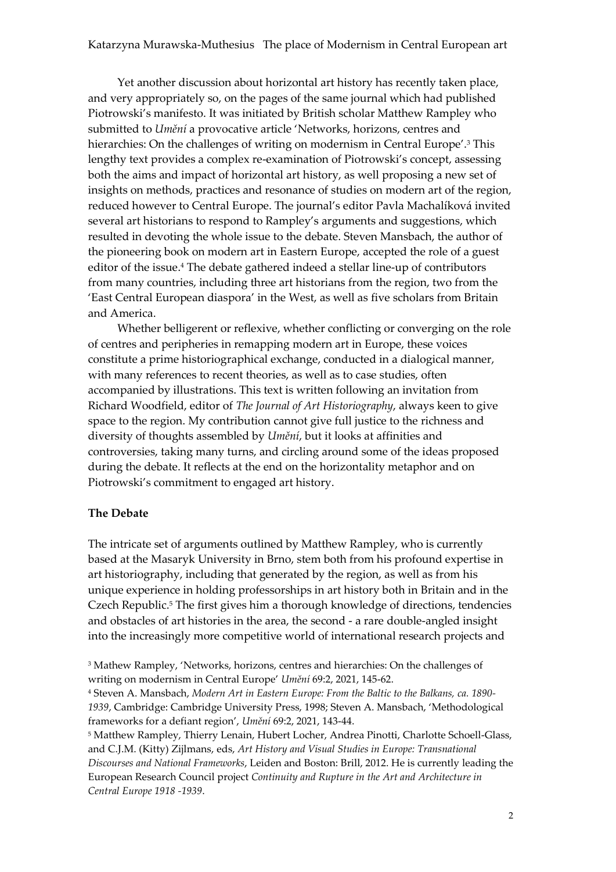Yet another discussion about horizontal art history has recently taken place, and very appropriately so, on the pages of the same journal which had published Piotrowski's manifesto. It was initiated by British scholar Matthew Rampley who submitted to *Umění* a provocative article 'Networks, horizons, centres and hierarchies: On the challenges of writing on modernism in Central Europe'.<sup>3</sup> This lengthy text provides a complex re-examination of Piotrowski's concept, assessing both the aims and impact of horizontal art history, as well proposing a new set of insights on methods, practices and resonance of studies on modern art of the region, reduced however to Central Europe. The journal's editor Pavla Machalíková invited several art historians to respond to Rampley's arguments and suggestions, which resulted in devoting the whole issue to the debate. Steven Mansbach, the author of the pioneering book on modern art in Eastern Europe, accepted the role of a guest editor of the issue.<sup>4</sup> The debate gathered indeed a stellar line-up of contributors from many countries, including three art historians from the region, two from the 'East Central European diaspora' in the West, as well as five scholars from Britain and America.

Whether belligerent or reflexive, whether conflicting or converging on the role of centres and peripheries in remapping modern art in Europe, these voices constitute a prime historiographical exchange, conducted in a dialogical manner, with many references to recent theories, as well as to case studies, often accompanied by illustrations. This text is written following an invitation from Richard Woodfield, editor of *The Journal of Art Historiography*, always keen to give space to the region. My contribution cannot give full justice to the richness and diversity of thoughts assembled by *Umění*, but it looks at affinities and controversies, taking many turns, and circling around some of the ideas proposed during the debate. It reflects at the end on the horizontality metaphor and on Piotrowski's commitment to engaged art history.

#### **The Debate**

The intricate set of arguments outlined by Matthew Rampley, who is currently based at the Masaryk University in Brno, stem both from his profound expertise in art historiography, including that generated by the region, as well as from his unique experience in holding professorships in art history both in Britain and in the Czech Republic.<sup>5</sup> The first gives him a thorough knowledge of directions, tendencies and obstacles of art histories in the area, the second - a rare double-angled insight into the increasingly more competitive world of international research projects and

<sup>3</sup> Mathew Rampley, 'Networks, horizons, centres and hierarchies: On the challenges of writing on modernism in Central Europe' *Umění* 69:2, 2021, 145-62.

<sup>4</sup> Steven A. Mansbach, *Modern Art in Eastern Europe: From the Baltic to the Balkans, ca. 1890- 1939*, Cambridge: Cambridge University Press, 1998; Steven A. Mansbach, 'Methodological frameworks for a defiant region', *Umění* 69:2, 2021, 143-44.

<sup>5</sup> Matthew Rampley, T[hierry Lenain,](https://brill.com/search?f_0=author&q_0=Thierry+Lenain) [Hubert Locher,](https://brill.com/search?f_0=author&q_0=Hubert+Locher) [Andrea Pinotti,](https://brill.com/search?f_0=author&q_0=Andrea+Pinotti) [Charlotte Schoell-Glass,](https://brill.com/search?f_0=author&q_0=Charlotte+Schoell-Glass)  and [C.J.M. \(Kitty\) Zijlmans,](https://brill.com/search?f_0=author&q_0=C.J.M.+%28Kitty%29+Zijlmans) eds, *Art History and Visual Studies in Europe: Transnational Discourses and National Frameworks*, Leiden and Boston: Brill, 2012. He is currently leading the European Research Council project *Continuity and Rupture in the Art and Architecture in Central Europe 1918 -1939*.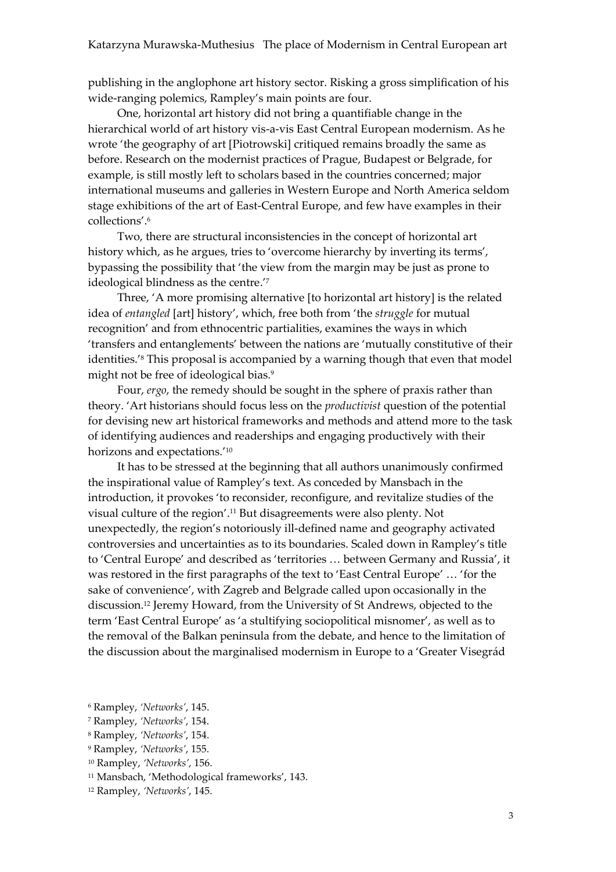publishing in the anglophone art history sector. Risking a gross simplification of his wide-ranging polemics, Rampley's main points are four.

One, horizontal art history did not bring a quantifiable change in the hierarchical world of art history vis-a-vis East Central European modernism. As he wrote 'the geography of art [Piotrowski] critiqued remains broadly the same as before. Research on the modernist practices of Prague, Budapest or Belgrade, for example, is still mostly left to scholars based in the countries concerned; major international museums and galleries in Western Europe and North America seldom stage exhibitions of the art of East-Central Europe, and few have examples in their collections'.<sup>6</sup>

Two, there are structural inconsistencies in the concept of horizontal art history which, as he argues, tries to 'overcome hierarchy by inverting its terms', bypassing the possibility that 'the view from the margin may be just as prone to ideological blindness as the centre.'<sup>7</sup>

Three, 'A more promising alternative [to horizontal art history] is the related idea of *entangled* [art] history', which, free both from 'the *struggle* for mutual recognition' and from ethnocentric partialities, examines the ways in which 'transfers and entanglements' between the nations are 'mutually constitutive of their identities.'<sup>8</sup> This proposal is accompanied by a warning though that even that model might not be free of ideological bias.<sup>9</sup>

Four, *ergo*, the remedy should be sought in the sphere of praxis rather than theory. 'Art historians should focus less on the *productivist* question of the potential for devising new art historical frameworks and methods and attend more to the task of identifying audiences and readerships and engaging productively with their horizons and expectations.'<sup>10</sup>

It has to be stressed at the beginning that all authors unanimously confirmed the inspirational value of Rampley's text. As conceded by Mansbach in the introduction, it provokes 'to reconsider, reconfigure, and revitalize studies of the visual culture of the region'.<sup>11</sup> But disagreements were also plenty. Not unexpectedly, the region's notoriously ill-defined name and geography activated controversies and uncertainties as to its boundaries. Scaled down in Rampley's title to 'Central Europe' and described as 'territories … between Germany and Russia', it was restored in the first paragraphs of the text to 'East Central Europe' … 'for the sake of convenience', with Zagreb and Belgrade called upon occasionally in the discussion.<sup>12</sup> Jeremy Howard, from the University of St Andrews, objected to the term 'East Central Europe' as 'a stultifying sociopolitical misnomer', as well as to the removal of the Balkan peninsula from the debate, and hence to the limitation of the discussion about the marginalised modernism in Europe to a 'Greater Visegrád

<sup>6</sup> Rampley, *'Networks'*, 145.

<sup>7</sup> Rampley, *'Networks'*, 154.

<sup>8</sup> Rampley, *'Networks'*, 154.

<sup>9</sup> Rampley, *'Networks'*, 155.

<sup>10</sup> Rampley, *'Networks'*, 156.

<sup>11</sup> Mansbach, 'Methodological frameworks', 143.

<sup>12</sup> Rampley, *'Networks'*, 145.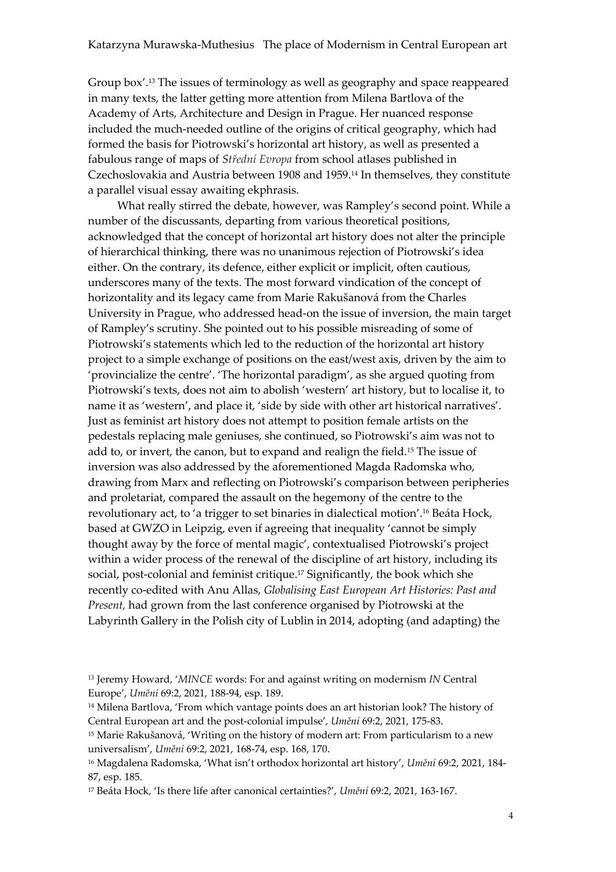Group box'.<sup>13</sup> The issues of terminology as well as geography and space reappeared in many texts, the latter getting more attention from Milena Bartlova of the Academy of Arts, Architecture and Design in Prague. Her nuanced response included the much-needed outline of the origins of critical geography, which had formed the basis for Piotrowski's horizontal art history, as well as presented a fabulous range of maps of *Střední Evropa* from school atlases published in Czechoslovakia and Austria between 1908 and 1959.<sup>14</sup> In themselves, they constitute a parallel visual essay awaiting ekphrasis.

What really stirred the debate, however, was Rampley's second point. While a number of the discussants, departing from various theoretical positions, acknowledged that the concept of horizontal art history does not alter the principle of hierarchical thinking, there was no unanimous rejection of Piotrowski's idea either. On the contrary, its defence, either explicit or implicit, often cautious, underscores many of the texts. The most forward vindication of the concept of horizontality and its legacy came from Marie Rakušanová from the Charles University in Prague, who addressed head-on the issue of inversion, the main target of Rampley's scrutiny. She pointed out to his possible misreading of some of Piotrowski's statements which led to the reduction of the horizontal art history project to a simple exchange of positions on the east/west axis, driven by the aim to 'provincialize the centre'. 'The horizontal paradigm', as she argued quoting from Piotrowski's texts, does not aim to abolish 'western' art history, but to localise it, to name it as 'western', and place it, 'side by side with other art historical narratives'. Just as feminist art history does not attempt to position female artists on the pedestals replacing male geniuses, she continued, so Piotrowski's aim was not to add to, or invert, the canon, but to expand and realign the field.<sup>15</sup> The issue of inversion was also addressed by the aforementioned Magda Radomska who, drawing from Marx and reflecting on Piotrowski's comparison between peripheries and proletariat, compared the assault on the hegemony of the centre to the revolutionary act, to 'a trigger to set binaries in dialectical motion'.<sup>16</sup> Beáta Hock, based at GWZO in Leipzig, even if agreeing that inequality 'cannot be simply thought away by the force of mental magic', contextualised Piotrowski's project within a wider process of the renewal of the discipline of art history, including its social, post-colonial and feminist critique.<sup>17</sup> Significantly, the book which she recently co-edited with Anu Allas, *Globalising East European Art Histories: Past and Present,* had grown from the last conference organised by Piotrowski at the Labyrinth Gallery in the Polish city of Lublin in 2014, adopting (and adapting) the

<sup>13</sup> Jeremy Howard, '*MINCE* words: For and against writing on modernism *IN* Central Europe', *Umění* 69:2, 2021, 188-94, esp. 189.

<sup>14</sup> Milena Bartlova, 'From which vantage points does an art historian look? The history of Central European art and the post-colonial impulse', *Umění* 69:2, 2021, 175-83.

<sup>15</sup> Marie Rakušanová, 'Writing on the history of modern art: From particularism to a new universalism', *Umění* 69:2, 2021, 168-74, esp. 168, 170.

<sup>16</sup> Magdalena Radomska, 'What isn't orthodox horizontal art history', *Umění* 69:2, 2021, 184- 87, esp. 185.

<sup>17</sup> Beáta Hock, 'Is there life after canonical certainties?', *Umění* 69:2, 2021, 163-167.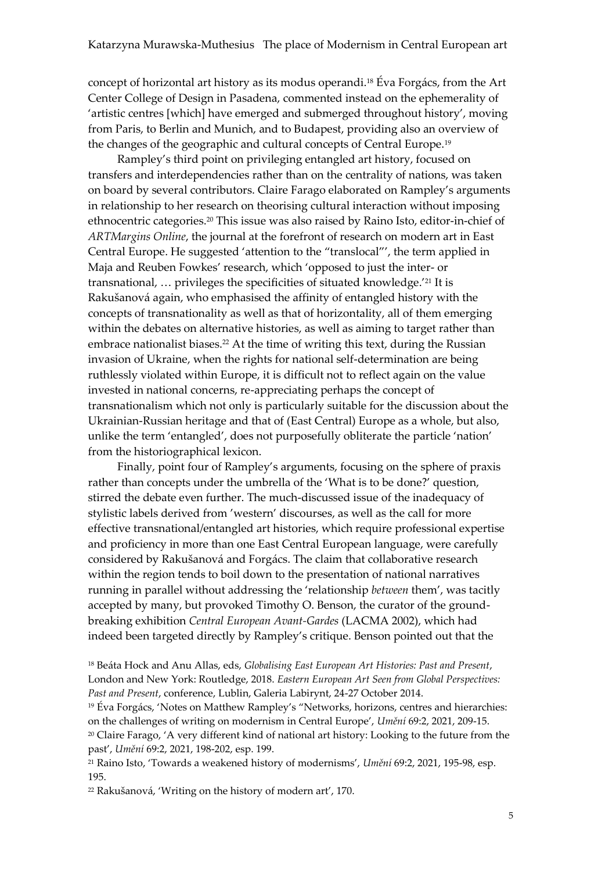concept of horizontal art history as its modus operandi.<sup>18</sup> Éva Forgács, from the Art Center College of Design in Pasadena, commented instead on the ephemerality of 'artistic centres [which] have emerged and submerged throughout history', moving from Paris, to Berlin and Munich, and to Budapest, providing also an overview of the changes of the geographic and cultural concepts of Central Europe.<sup>19</sup>

Rampley's third point on privileging entangled art history, focused on transfers and interdependencies rather than on the centrality of nations, was taken on board by several contributors. Claire Farago elaborated on Rampley's arguments in relationship to her research on theorising cultural interaction without imposing ethnocentric categories.<sup>20</sup> This issue was also raised by Raino Isto, editor-in-chief of *ARTMargins Online*, the journal at the forefront of research on modern art in East Central Europe. He suggested 'attention to the "translocal"', the term applied in Maja and Reuben Fowkes' research, which 'opposed to just the inter- or transnational, … privileges the specificities of situated knowledge.'<sup>21</sup> It is Rakušanová again, who emphasised the affinity of entangled history with the concepts of transnationality as well as that of horizontality, all of them emerging within the debates on alternative histories, as well as aiming to target rather than embrace nationalist biases.<sup>22</sup> At the time of writing this text, during the Russian invasion of Ukraine, when the rights for national self-determination are being ruthlessly violated within Europe, it is difficult not to reflect again on the value invested in national concerns, re-appreciating perhaps the concept of transnationalism which not only is particularly suitable for the discussion about the Ukrainian-Russian heritage and that of (East Central) Europe as a whole, but also, unlike the term 'entangled', does not purposefully obliterate the particle 'nation' from the historiographical lexicon.

Finally, point four of Rampley's arguments, focusing on the sphere of praxis rather than concepts under the umbrella of the 'What is to be done?' question, stirred the debate even further. The much-discussed issue of the inadequacy of stylistic labels derived from 'western' discourses, as well as the call for more effective transnational/entangled art histories, which require professional expertise and proficiency in more than one East Central European language, were carefully considered by Rakušanová and Forgács. The claim that collaborative research within the region tends to boil down to the presentation of national narratives running in parallel without addressing the 'relationship *between* them', was tacitly accepted by many, but provoked Timothy O. Benson, the curator of the groundbreaking exhibition *Central European Avant-Gardes* (LACMA 2002), which had indeed been targeted directly by Rampley's critique. Benson pointed out that the

<sup>19</sup> Éva Forgács, 'Notes on Matthew Rampley's "Networks, horizons, centres and hierarchies: on the challenges of writing on modernism in Central Europe', *Umění* 69:2, 2021, 209-15. <sup>20</sup> Claire Farago, 'A very different kind of national art history: Looking to the future from the past', *Umění* 69:2, 2021, 198-202, esp. 199.

<sup>21</sup> Raino Isto, 'Towards a weakened history of modernisms', *Umění* 69:2, 2021, 195-98, esp. 195.

<sup>22</sup> Rakušanová, 'Writing on the history of modern art', 170.

<sup>18</sup> Beáta Hock and Anu Allas, eds, *Globalising East European Art Histories: Past and Present*, London and New York: Routledge, 2018. *Eastern European Art Seen from Global Perspectives: Past and Present*, conference, Lublin, Galeria Labirynt, 24-27 October 2014.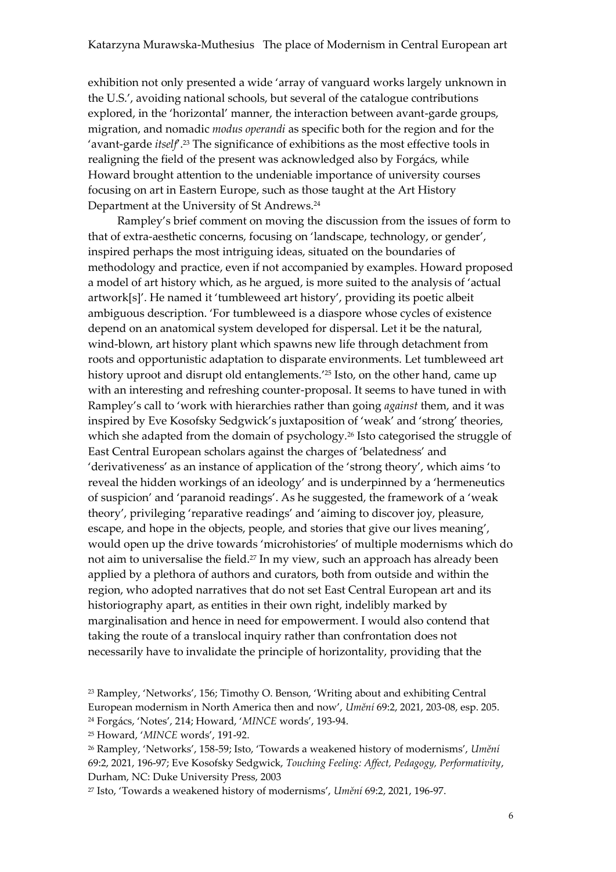exhibition not only presented a wide 'array of vanguard works largely unknown in the U.S.', avoiding national schools, but several of the catalogue contributions explored, in the 'horizontal' manner, the interaction between avant-garde groups, migration, and nomadic *modus operandi* as specific both for the region and for the 'avant-garde *itself*'.<sup>23</sup> The significance of exhibitions as the most effective tools in realigning the field of the present was acknowledged also by Forgács, while Howard brought attention to the undeniable importance of university courses focusing on art in Eastern Europe, such as those taught at the Art History Department at the University of St Andrews.<sup>24</sup>

Rampley's brief comment on moving the discussion from the issues of form to that of extra-aesthetic concerns, focusing on 'landscape, technology, or gender', inspired perhaps the most intriguing ideas, situated on the boundaries of methodology and practice, even if not accompanied by examples. Howard proposed a model of art history which, as he argued, is more suited to the analysis of 'actual artwork[s]'. He named it 'tumbleweed art history', providing its poetic albeit ambiguous description. 'For tumbleweed is a diaspore whose cycles of existence depend on an anatomical system developed for dispersal. Let it be the natural, wind-blown, art history plant which spawns new life through detachment from roots and opportunistic adaptation to disparate environments. Let tumbleweed art history uproot and disrupt old entanglements.' <sup>25</sup> Isto, on the other hand, came up with an interesting and refreshing counter-proposal. It seems to have tuned in with Rampley's call to 'work with hierarchies rather than going *against* them, and it was inspired by Eve Kosofsky Sedgwick's juxtaposition of 'weak' and 'strong' theories, which she adapted from the domain of psychology.<sup>26</sup> Isto categorised the struggle of East Central European scholars against the charges of 'belatedness' and 'derivativeness' as an instance of application of the 'strong theory', which aims 'to reveal the hidden workings of an ideology' and is underpinned by a 'hermeneutics of suspicion' and 'paranoid readings'. As he suggested, the framework of a 'weak theory', privileging 'reparative readings' and 'aiming to discover joy, pleasure, escape, and hope in the objects, people, and stories that give our lives meaning', would open up the drive towards 'microhistories' of multiple modernisms which do not aim to universalise the field.<sup>27</sup> In my view, such an approach has already been applied by a plethora of authors and curators, both from outside and within the region, who adopted narratives that do not set East Central European art and its historiography apart, as entities in their own right, indelibly marked by marginalisation and hence in need for empowerment. I would also contend that taking the route of a translocal inquiry rather than confrontation does not necessarily have to invalidate the principle of horizontality, providing that the

<sup>23</sup> Rampley, 'Networks', 156; Timothy O. Benson, 'Writing about and exhibiting Central European modernism in North America then and now', *Umění* 69:2, 2021, 203-08, esp. 205. <sup>24</sup> Forgács, 'Notes', 214; Howard, '*MINCE* words', 193-94.

<sup>25</sup> Howard, '*MINCE* words', 191-92.

<sup>26</sup> Rampley, 'Networks', 158-59; Isto, 'Towards a weakened history of modernisms', *Umění* 69:2, 2021, 196-97; Eve Kosofsky Sedgwick, *Touching Feeling: Affect, Pedagogy, Performativity*, Durham, NC: Duke University Press, 2003

<sup>27</sup> Isto, 'Towards a weakened history of modernisms', *Umění* 69:2, 2021, 196-97.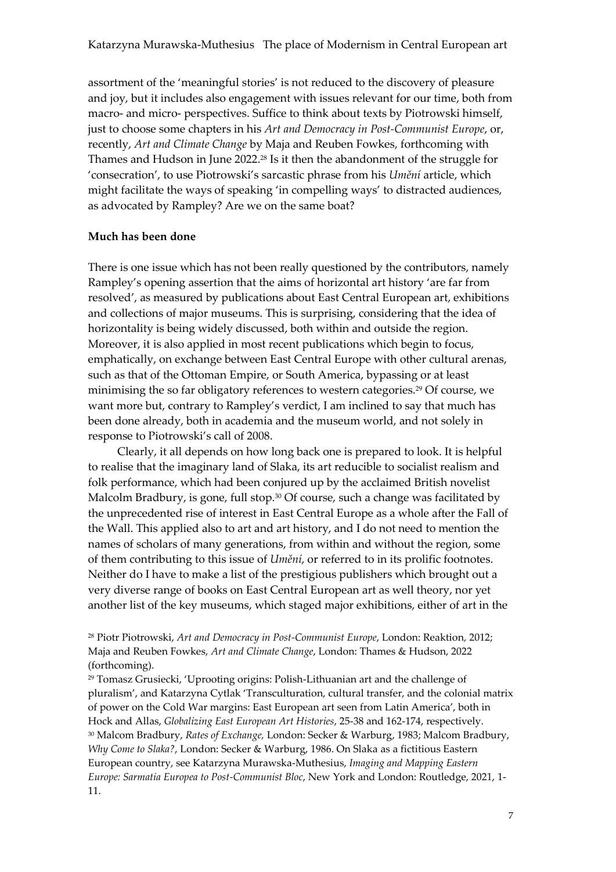assortment of the 'meaningful stories' is not reduced to the discovery of pleasure and joy, but it includes also engagement with issues relevant for our time, both from macro- and micro- perspectives. Suffice to think about texts by Piotrowski himself, just to choose some chapters in his *Art and Democracy in Post-Communist Europe*, or, recently, *Art and Climate Change* by Maja and Reuben Fowkes, forthcoming with Thames and Hudson in June 2022.<sup>28</sup> Is it then the abandonment of the struggle for 'consecration', to use Piotrowski's sarcastic phrase from his *Umění* article, which might facilitate the ways of speaking 'in compelling ways' to distracted audiences, as advocated by Rampley? Are we on the same boat?

#### **Much has been done**

There is one issue which has not been really questioned by the contributors, namely Rampley's opening assertion that the aims of horizontal art history 'are far from resolved', as measured by publications about East Central European art, exhibitions and collections of major museums. This is surprising, considering that the idea of horizontality is being widely discussed, both within and outside the region. Moreover, it is also applied in most recent publications which begin to focus, emphatically, on exchange between East Central Europe with other cultural arenas, such as that of the Ottoman Empire, or South America, bypassing or at least minimising the so far obligatory references to western categories.<sup>29</sup> Of course, we want more but, contrary to Rampley's verdict, I am inclined to say that much has been done already, both in academia and the museum world, and not solely in response to Piotrowski's call of 2008.

Clearly, it all depends on how long back one is prepared to look. It is helpful to realise that the imaginary land of Slaka, its art reducible to socialist realism and folk performance, which had been conjured up by the acclaimed British novelist Malcolm Bradbury, is gone, full stop.<sup>30</sup> Of course, such a change was facilitated by the unprecedented rise of interest in East Central Europe as a whole after the Fall of the Wall. This applied also to art and art history, and I do not need to mention the names of scholars of many generations, from within and without the region, some of them contributing to this issue of *Umění*, or referred to in its prolific footnotes. Neither do I have to make a list of the prestigious publishers which brought out a very diverse range of books on East Central European art as well theory, nor yet another list of the key museums, which staged major exhibitions, either of art in the

<sup>28</sup> Piotr Piotrowski, *Art and Democracy in Post-Communist Europe*, London: Reaktion*,* 2012; Maja and Reuben Fowkes, *Art and Climate Change*, London: Thames & Hudson, 2022 (forthcoming).

<sup>29</sup> Tomasz Grusiecki, 'Uprooting origins: Polish-Lithuanian art and the challenge of pluralism', and Katarzyna Cytlak 'Transculturation, cultural transfer, and the colonial matrix of power on the Cold War margins: East European art seen from Latin America', both in Hock and Allas, *Globalizing East European Art Histories*, 25-38 and 162-174, respectively. <sup>30</sup> Malcom Bradbury, *Rates of Exchange,* London: Secker & Warburg, 1983; Malcom Bradbury, *Why Come to Slaka?*, London: Secker & Warburg, 1986. On Slaka as a fictitious Eastern European country, see Katarzyna Murawska-Muthesius, *Imaging and Mapping Eastern Europe: Sarmatia Europea to Post-Communist Bloc*, New York and London: Routledge, 2021, 1- 11.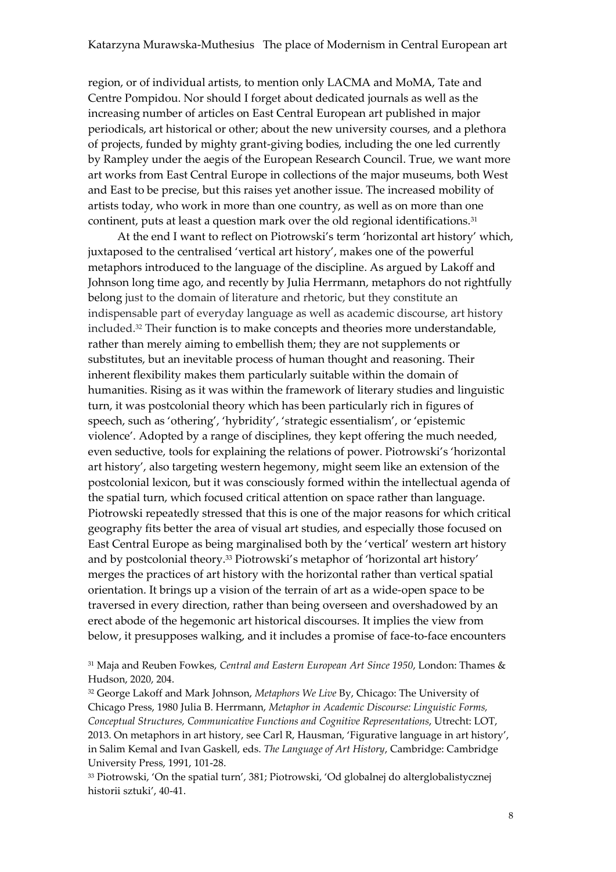region, or of individual artists, to mention only LACMA and MoMA, Tate and Centre Pompidou. Nor should I forget about dedicated journals as well as the increasing number of articles on East Central European art published in major periodicals, art historical or other; about the new university courses, and a plethora of projects, funded by mighty grant-giving bodies, including the one led currently by Rampley under the aegis of the European Research Council. True, we want more art works from East Central Europe in collections of the major museums, both West and East to be precise, but this raises yet another issue. The increased mobility of artists today, who work in more than one country, as well as on more than one continent, puts at least a question mark over the old regional identifications.<sup>31</sup>

At the end I want to reflect on Piotrowski's term 'horizontal art history' which, juxtaposed to the centralised 'vertical art history', makes one of the powerful metaphors introduced to the language of the discipline. As argued by Lakoff and Johnson long time ago, and recently by Julia Herrmann, metaphors do not rightfully belong just to the domain of literature and rhetoric, but they constitute an indispensable part of everyday language as well as academic discourse, art history included.<sup>32</sup> Their function is to make concepts and theories more understandable, rather than merely aiming to embellish them; they are not supplements or substitutes, but an inevitable process of human thought and reasoning. Their inherent flexibility makes them particularly suitable within the domain of humanities. Rising as it was within the framework of literary studies and linguistic turn, it was postcolonial theory which has been particularly rich in figures of speech, such as 'othering', 'hybridity', 'strategic essentialism', or 'epistemic violence'. Adopted by a range of disciplines, they kept offering the much needed, even seductive, tools for explaining the relations of power. Piotrowski's 'horizontal art history', also targeting western hegemony, might seem like an extension of the postcolonial lexicon, but it was consciously formed within the intellectual agenda of the spatial turn, which focused critical attention on space rather than language. Piotrowski repeatedly stressed that this is one of the major reasons for which critical geography fits better the area of visual art studies, and especially those focused on East Central Europe as being marginalised both by the 'vertical' western art history and by postcolonial theory.<sup>33</sup> Piotrowski's metaphor of 'horizontal art history' merges the practices of art history with the horizontal rather than vertical spatial orientation. It brings up a vision of the terrain of art as a wide-open space to be traversed in every direction, rather than being overseen and overshadowed by an erect abode of the hegemonic art historical discourses. It implies the view from below, it presupposes walking, and it includes a promise of face-to-face encounters

<sup>31</sup> Maja and Reuben Fowkes, *Central and Eastern European Art Since 1950*, London: Thames & Hudson, 2020, 204.

<sup>32</sup> George Lakoff and Mark Johnson, *Metaphors We Live* By, Chicago: The University of Chicago Press, 1980 Julia B. Herrmann, *Metaphor in Academic Discourse: Linguistic Forms, Conceptual Structures, Communicative Functions and Cognitive Representations*, Utrecht: LOT, 2013. On metaphors in art history, see Carl R, Hausman, 'Figurative language in art history', in Salim Kemal and Ivan Gaskell, eds. *The Language of Art History*, Cambridge: Cambridge University Press, 1991, 101-28.

<sup>33</sup> Piotrowski, 'On the spatial turn', 381; Piotrowski, 'Od globalnej do alterglobalistycznej historii sztuki', 40-41.